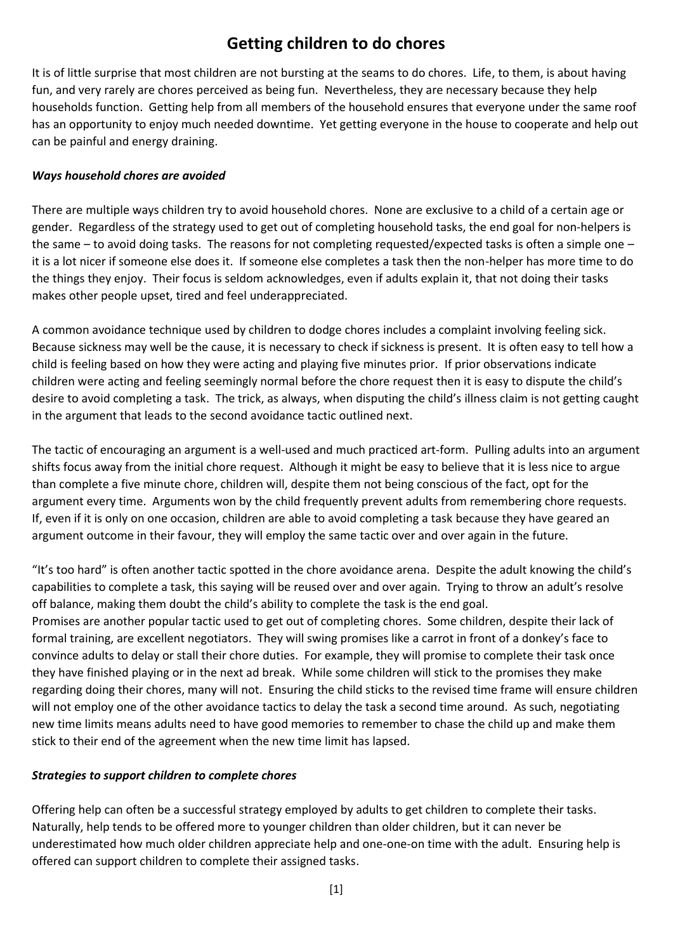## **Getting children to do chores**

It is of little surprise that most children are not bursting at the seams to do chores. Life, to them, is about having fun, and very rarely are chores perceived as being fun. Nevertheless, they are necessary because they help households function. Getting help from all members of the household ensures that everyone under the same roof has an opportunity to enjoy much needed downtime. Yet getting everyone in the house to cooperate and help out can be painful and energy draining.

## *Ways household chores are avoided*

There are multiple ways children try to avoid household chores. None are exclusive to a child of a certain age or gender. Regardless of the strategy used to get out of completing household tasks, the end goal for non-helpers is the same – to avoid doing tasks. The reasons for not completing requested/expected tasks is often a simple one – it is a lot nicer if someone else does it. If someone else completes a task then the non-helper has more time to do the things they enjoy. Their focus is seldom acknowledges, even if adults explain it, that not doing their tasks makes other people upset, tired and feel underappreciated.

A common avoidance technique used by children to dodge chores includes a complaint involving feeling sick. Because sickness may well be the cause, it is necessary to check if sickness is present. It is often easy to tell how a child is feeling based on how they were acting and playing five minutes prior. If prior observations indicate children were acting and feeling seemingly normal before the chore request then it is easy to dispute the child's desire to avoid completing a task. The trick, as always, when disputing the child's illness claim is not getting caught in the argument that leads to the second avoidance tactic outlined next.

The tactic of encouraging an argument is a well-used and much practiced art-form. Pulling adults into an argument shifts focus away from the initial chore request. Although it might be easy to believe that it is less nice to argue than complete a five minute chore, children will, despite them not being conscious of the fact, opt for the argument every time. Arguments won by the child frequently prevent adults from remembering chore requests. If, even if it is only on one occasion, children are able to avoid completing a task because they have geared an argument outcome in their favour, they will employ the same tactic over and over again in the future.

"It's too hard" is often another tactic spotted in the chore avoidance arena. Despite the adult knowing the child's capabilities to complete a task, this saying will be reused over and over again. Trying to throw an adult's resolve off balance, making them doubt the child's ability to complete the task is the end goal.

Promises are another popular tactic used to get out of completing chores. Some children, despite their lack of formal training, are excellent negotiators. They will swing promises like a carrot in front of a donkey's face to convince adults to delay or stall their chore duties. For example, they will promise to complete their task once they have finished playing or in the next ad break. While some children will stick to the promises they make regarding doing their chores, many will not. Ensuring the child sticks to the revised time frame will ensure children will not employ one of the other avoidance tactics to delay the task a second time around. As such, negotiating new time limits means adults need to have good memories to remember to chase the child up and make them stick to their end of the agreement when the new time limit has lapsed.

## *Strategies to support children to complete chores*

Offering help can often be a successful strategy employed by adults to get children to complete their tasks. Naturally, help tends to be offered more to younger children than older children, but it can never be underestimated how much older children appreciate help and one-one-on time with the adult. Ensuring help is offered can support children to complete their assigned tasks.